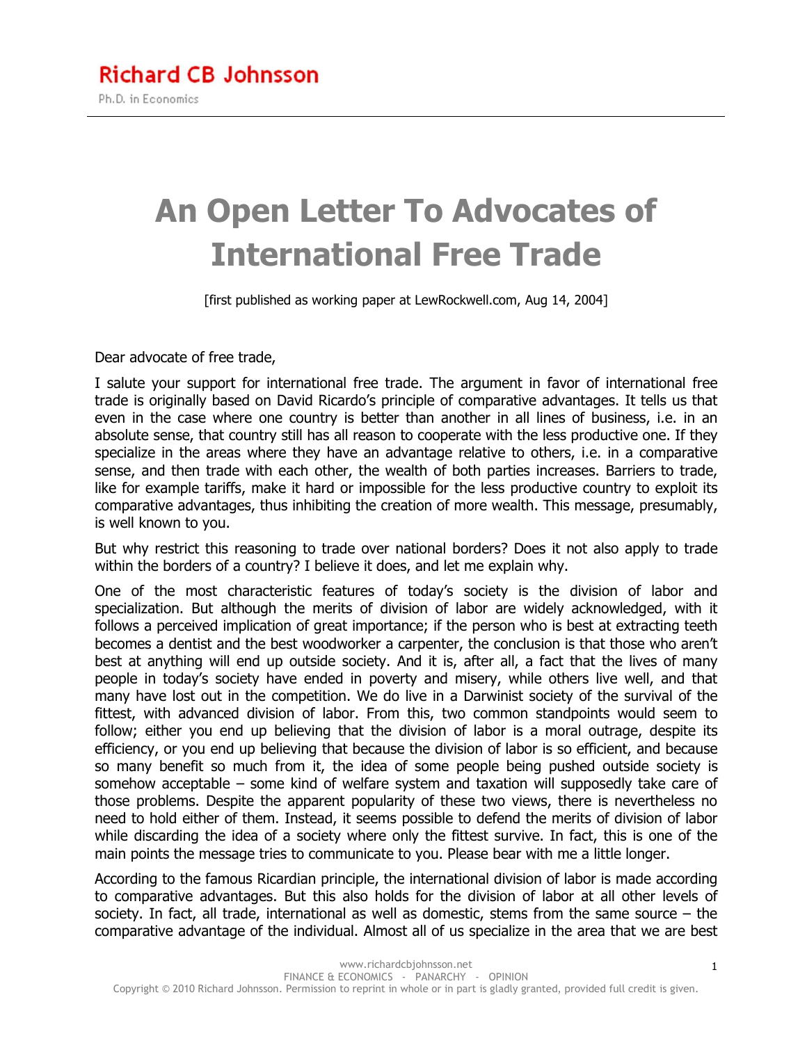## **An Open Letter To Advocates of International Free Trade**

[first published as working paper at LewRockwell.com, Aug 14, 2004]

Dear advocate of free trade,

I salute your support for international free trade. The argument in favor of international free trade is originally based on David Ricardo's principle of comparative advantages. It tells us that even in the case where one country is better than another in all lines of business, i.e. in an absolute sense, that country still has all reason to cooperate with the less productive one. If they specialize in the areas where they have an advantage relative to others, i.e. in a comparative sense, and then trade with each other, the wealth of both parties increases. Barriers to trade, like for example tariffs, make it hard or impossible for the less productive country to exploit its comparative advantages, thus inhibiting the creation of more wealth. This message, presumably, is well known to you.

But why restrict this reasoning to trade over national borders? Does it not also apply to trade within the borders of a country? I believe it does, and let me explain why.

One of the most characteristic features of today's society is the division of labor and specialization. But although the merits of division of labor are widely acknowledged, with it follows a perceived implication of great importance; if the person who is best at extracting teeth becomes a dentist and the best woodworker a carpenter, the conclusion is that those who aren't best at anything will end up outside society. And it is, after all, a fact that the lives of many people in today's society have ended in poverty and misery, while others live well, and that many have lost out in the competition. We do live in a Darwinist society of the survival of the fittest, with advanced division of labor. From this, two common standpoints would seem to follow; either you end up believing that the division of labor is a moral outrage, despite its efficiency, or you end up believing that because the division of labor is so efficient, and because so many benefit so much from it, the idea of some people being pushed outside society is somehow acceptable – some kind of welfare system and taxation will supposedly take care of those problems. Despite the apparent popularity of these two views, there is nevertheless no need to hold either of them. Instead, it seems possible to defend the merits of division of labor while discarding the idea of a society where only the fittest survive. In fact, this is one of the main points the message tries to communicate to you. Please bear with me a little longer.

According to the famous Ricardian principle, the international division of labor is made according to comparative advantages. But this also holds for the division of labor at all other levels of society. In fact, all trade, international as well as domestic, stems from the same source – the comparative advantage of the individual. Almost all of us specialize in the area that we are best

1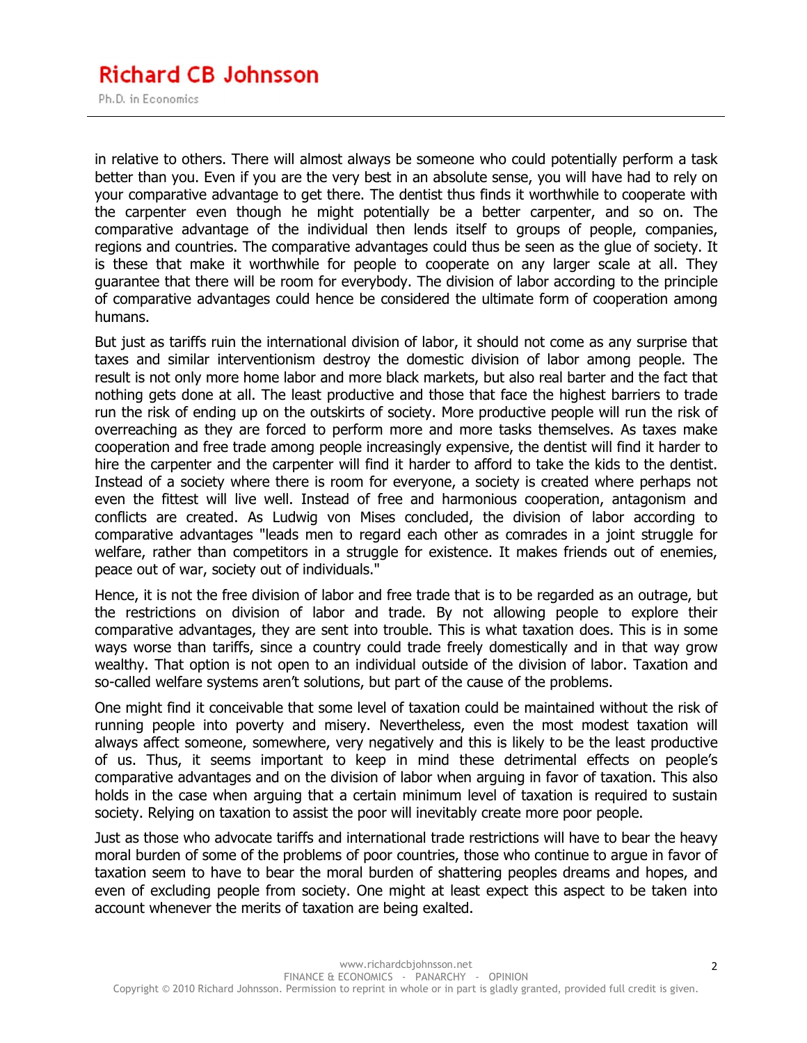## **Richard CB Johnsson** Ph.D. in Economics

in relative to others. There will almost always be someone who could potentially perform a task better than you. Even if you are the very best in an absolute sense, you will have had to rely on your comparative advantage to get there. The dentist thus finds it worthwhile to cooperate with the carpenter even though he might potentially be a better carpenter, and so on. The comparative advantage of the individual then lends itself to groups of people, companies, regions and countries. The comparative advantages could thus be seen as the glue of society. It is these that make it worthwhile for people to cooperate on any larger scale at all. They guarantee that there will be room for everybody. The division of labor according to the principle of comparative advantages could hence be considered the ultimate form of cooperation among humans.

But just as tariffs ruin the international division of labor, it should not come as any surprise that taxes and similar interventionism destroy the domestic division of labor among people. The result is not only more home labor and more black markets, but also real barter and the fact that nothing gets done at all. The least productive and those that face the highest barriers to trade run the risk of ending up on the outskirts of society. More productive people will run the risk of overreaching as they are forced to perform more and more tasks themselves. As taxes make cooperation and free trade among people increasingly expensive, the dentist will find it harder to hire the carpenter and the carpenter will find it harder to afford to take the kids to the dentist. Instead of a society where there is room for everyone, a society is created where perhaps not even the fittest will live well. Instead of free and harmonious cooperation, antagonism and conflicts are created. As Ludwig von Mises concluded, the division of labor according to comparative advantages "leads men to regard each other as comrades in a joint struggle for welfare, rather than competitors in a struggle for existence. It makes friends out of enemies, peace out of war, society out of individuals."

Hence, it is not the free division of labor and free trade that is to be regarded as an outrage, but the restrictions on division of labor and trade. By not allowing people to explore their comparative advantages, they are sent into trouble. This is what taxation does. This is in some ways worse than tariffs, since a country could trade freely domestically and in that way grow wealthy. That option is not open to an individual outside of the division of labor. Taxation and so-called welfare systems aren't solutions, but part of the cause of the problems.

One might find it conceivable that some level of taxation could be maintained without the risk of running people into poverty and misery. Nevertheless, even the most modest taxation will always affect someone, somewhere, very negatively and this is likely to be the least productive of us. Thus, it seems important to keep in mind these detrimental effects on people's comparative advantages and on the division of labor when arguing in favor of taxation. This also holds in the case when arguing that a certain minimum level of taxation is required to sustain society. Relying on taxation to assist the poor will inevitably create more poor people.

Just as those who advocate tariffs and international trade restrictions will have to bear the heavy moral burden of some of the problems of poor countries, those who continue to argue in favor of taxation seem to have to bear the moral burden of shattering peoples dreams and hopes, and even of excluding people from society. One might at least expect this aspect to be taken into account whenever the merits of taxation are being exalted.